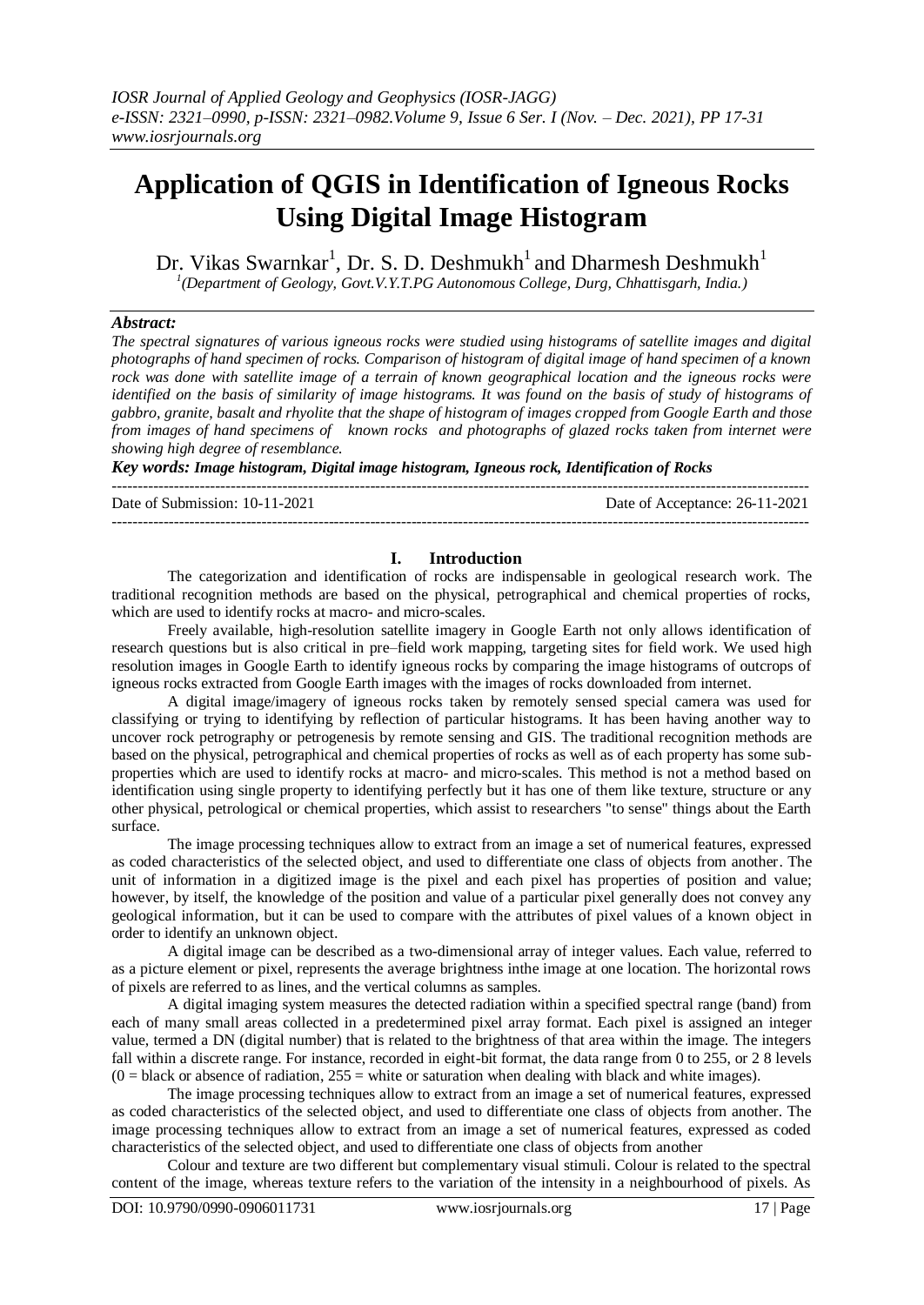# **Application of QGIS in Identification of Igneous Rocks Using Digital Image Histogram**

Dr. Vikas Swarnkar<sup>1</sup>, Dr. S. D. Deshmukh<sup>1</sup> and Dharmesh Deshmukh<sup>1</sup> *1 (Department of Geology, Govt.V.Y.T.PG Autonomous College, Durg, Chhattisgarh, India.)*

## *Abstract:*

*The spectral signatures of various igneous rocks were studied using histograms of satellite images and digital photographs of hand specimen of rocks. Comparison of histogram of digital image of hand specimen of a known rock was done with satellite image of a terrain of known geographical location and the igneous rocks were identified on the basis of similarity of image histograms. It was found on the basis of study of histograms of gabbro, granite, basalt and rhyolite that the shape of histogram of images cropped from Google Earth and those from images of hand specimens of known rocks and photographs of glazed rocks taken from internet were showing high degree of resemblance.*

*Key words: Image histogram, Digital image histogram, Igneous rock, Identification of Rocks*

---------------------------------------------------------------------------------------------------------------------------------------

Date of Submission: 10-11-2021 Date of Acceptance: 26-11-2021

---------------------------------------------------------------------------------------------------------------------------------------

## **I. Introduction**

The categorization and identification of rocks are indispensable in geological research work. The traditional recognition methods are based on the physical, petrographical and chemical properties of rocks, which are used to identify rocks at macro- and micro-scales.

Freely available, high-resolution satellite imagery in Google Earth not only allows identification of research questions but is also critical in pre–field work mapping, targeting sites for field work. We used high resolution images in Google Earth to identify igneous rocks by comparing the image histograms of outcrops of igneous rocks extracted from Google Earth images with the images of rocks downloaded from internet.

A digital image/imagery of igneous rocks taken by remotely sensed special camera was used for classifying or trying to identifying by reflection of particular histograms. It has been having another way to uncover rock petrography or petrogenesis by remote sensing and GIS. The traditional recognition methods are based on the physical, petrographical and chemical properties of rocks as well as of each property has some subproperties which are used to identify rocks at macro- and micro-scales. This method is not a method based on identification using single property to identifying perfectly but it has one of them like texture, structure or any other physical, petrological or chemical properties, which assist to researchers "to sense" things about the Earth surface.

The image processing techniques allow to extract from an image a set of numerical features, expressed as coded characteristics of the selected object, and used to differentiate one class of objects from another. The unit of information in a digitized image is the pixel and each pixel has properties of position and value; however, by itself, the knowledge of the position and value of a particular pixel generally does not convey any geological information, but it can be used to compare with the attributes of pixel values of a known object in order to identify an unknown object.

A digital image can be described as a two-dimensional array of integer values. Each value, referred to as a picture element or pixel, represents the average brightness inthe image at one location. The horizontal rows of pixels are referred to as lines, and the vertical columns as samples.

A digital imaging system measures the detected radiation within a specified spectral range (band) from each of many small areas collected in a predetermined pixel array format. Each pixel is assigned an integer value, termed a DN (digital number) that is related to the brightness of that area within the image. The integers fall within a discrete range. For instance, recorded in eight-bit format, the data range from 0 to 255, or 2 8 levels  $(0 = 0)$  black or absence of radiation,  $255 =$  white or saturation when dealing with black and white images).

The image processing techniques allow to extract from an image a set of numerical features, expressed as coded characteristics of the selected object, and used to differentiate one class of objects from another. The image processing techniques allow to extract from an image a set of numerical features, expressed as coded characteristics of the selected object, and used to differentiate one class of objects from another

Colour and texture are two different but complementary visual stimuli. Colour is related to the spectral content of the image, whereas texture refers to the variation of the intensity in a neighbourhood of pixels. As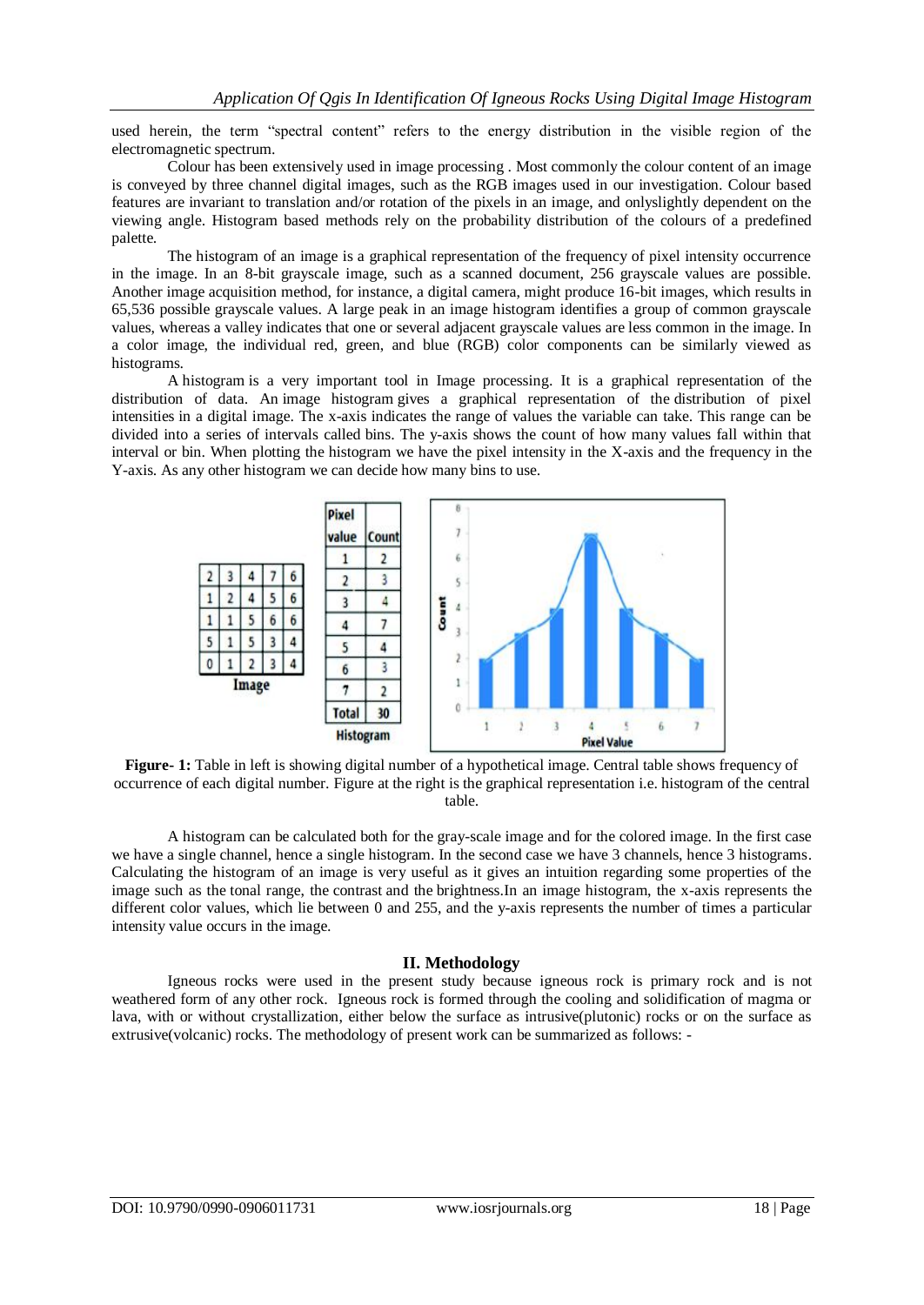used herein, the term "spectral content" refers to the energy distribution in the visible region of the electromagnetic spectrum.

Colour has been extensively used in image processing . Most commonly the colour content of an image is conveyed by three channel digital images, such as the RGB images used in our investigation. Colour based features are invariant to translation and/or rotation of the pixels in an image, and onlyslightly dependent on the viewing angle. Histogram based methods rely on the probability distribution of the colours of a predefined palette.

The histogram of an image is a graphical representation of the frequency of pixel intensity occurrence in the image. In an 8-bit grayscale image, such as a scanned document, 256 grayscale values are possible. Another image acquisition method, for instance, a digital camera, might produce 16-bit images, which results in 65,536 possible grayscale values. A large peak in an image histogram identifies a group of common grayscale values, whereas a valley indicates that one or several adjacent grayscale values are less common in the image. In a color image, the individual red, green, and blue (RGB) color components can be similarly viewed as histograms.

A histogram is a very important tool in Image processing. It is a graphical representation of the distribution of data. An image histogram gives a graphical representation of the distribution of pixel intensities in a digital image. The x-axis indicates the range of values the variable can take. This range can be divided into a series of intervals called bins. The y-axis shows the count of how many values fall within that interval or bin. When plotting the histogram we have the pixel intensity in the X-axis and the frequency in the Y-axis. As any other histogram we can decide how many bins to use.



**Figure-** 1: Table in left is showing digital number of a hypothetical image. Central table shows frequency of occurrence of each digital number. Figure at the right is the graphical representation i.e. histogram of the central table.

A histogram can be calculated both for the gray-scale image and for the colored image. In the first case we have a single channel, hence a single histogram. In the second case we have 3 channels, hence 3 histograms. Calculating the histogram of an image is very useful as it gives an intuition regarding some properties of the image such as the tonal range, the contrast and the brightness.In an image histogram, the x-axis represents the different color values, which lie between 0 and 255, and the y-axis represents the number of times a particular intensity value occurs in the image.

## **II. Methodology**

Igneous rocks were used in the present study because igneous rock is primary rock and is not weathered form of any other rock. Igneous rock is formed through the cooling and solidification of magma or lava, with or without crystallization, either below the surface as intrusive(plutonic) rocks or on the surface as extrusive(volcanic) rocks. The methodology of present work can be summarized as follows: -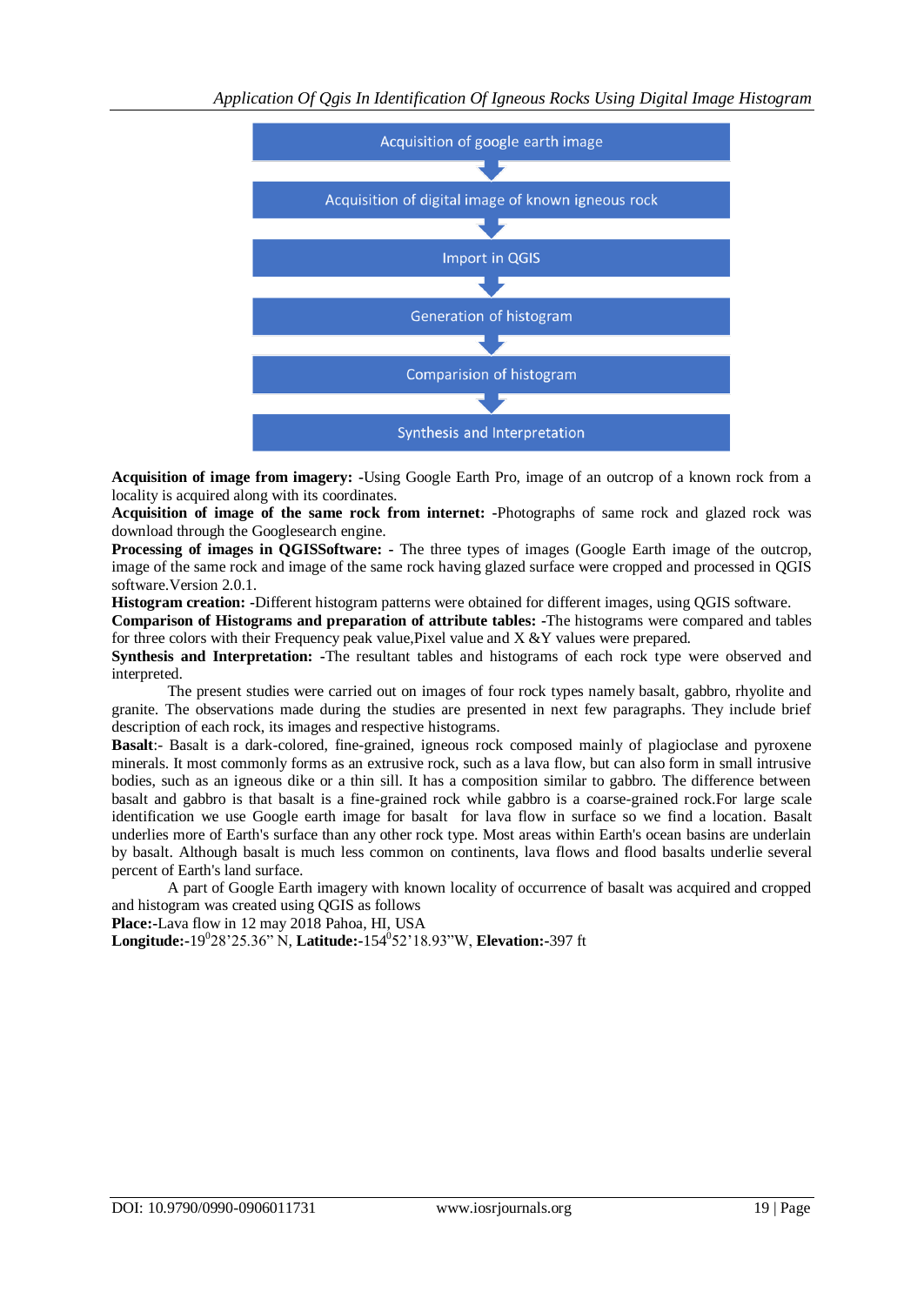

**Acquisition of image from imagery: -**Using Google Earth Pro, image of an outcrop of a known rock from a locality is acquired along with its coordinates.

**Acquisition of image of the same rock from internet: -**Photographs of same rock and glazed rock was download through the Googlesearch engine.

**Processing of images in QGISSoftware: -** The three types of images (Google Earth image of the outcrop, image of the same rock and image of the same rock having glazed surface were cropped and processed in QGIS software.Version 2.0.1.

**Histogram creation: -**Different histogram patterns were obtained for different images, using QGIS software.

**Comparison of Histograms and preparation of attribute tables: -**The histograms were compared and tables for three colors with their Frequency peak value, Pixel value and  $X \& Y$  values were prepared.

**Synthesis and Interpretation: -**The resultant tables and histograms of each rock type were observed and interpreted.

The present studies were carried out on images of four rock types namely basalt, gabbro, rhyolite and granite. The observations made during the studies are presented in next few paragraphs. They include brief description of each rock, its images and respective histograms.

**Basalt**:- Basalt is a dark-colored, fine-grained, igneous rock composed mainly of plagioclase and pyroxene minerals. It most commonly forms as an extrusive rock, such as a lava flow, but can also form in small intrusive bodies, such as an igneous dike or a thin sill. It has a composition similar to gabbro. The difference between basalt and gabbro is that basalt is a fine-grained rock while gabbro is a coarse-grained rock.For large scale identification we use Google earth image for basalt for lava flow in surface so we find a location. Basalt underlies more of Earth's surface than any other rock type. Most areas within Earth's ocean basins are underlain by basalt. Although basalt is much less common on continents, lava flows and flood basalts underlie several percent of Earth's land surface.

A part of Google Earth imagery with known locality of occurrence of basalt was acquired and cropped and histogram was created using QGIS as follows

**Place:-**Lava flow in 12 may 2018 Pahoa, HI, USA

**Longitude:-**19<sup>0</sup> 28'25.36" N, **Latitude:-**154<sup>0</sup> 52'18.93"W, **Elevation:-**397 ft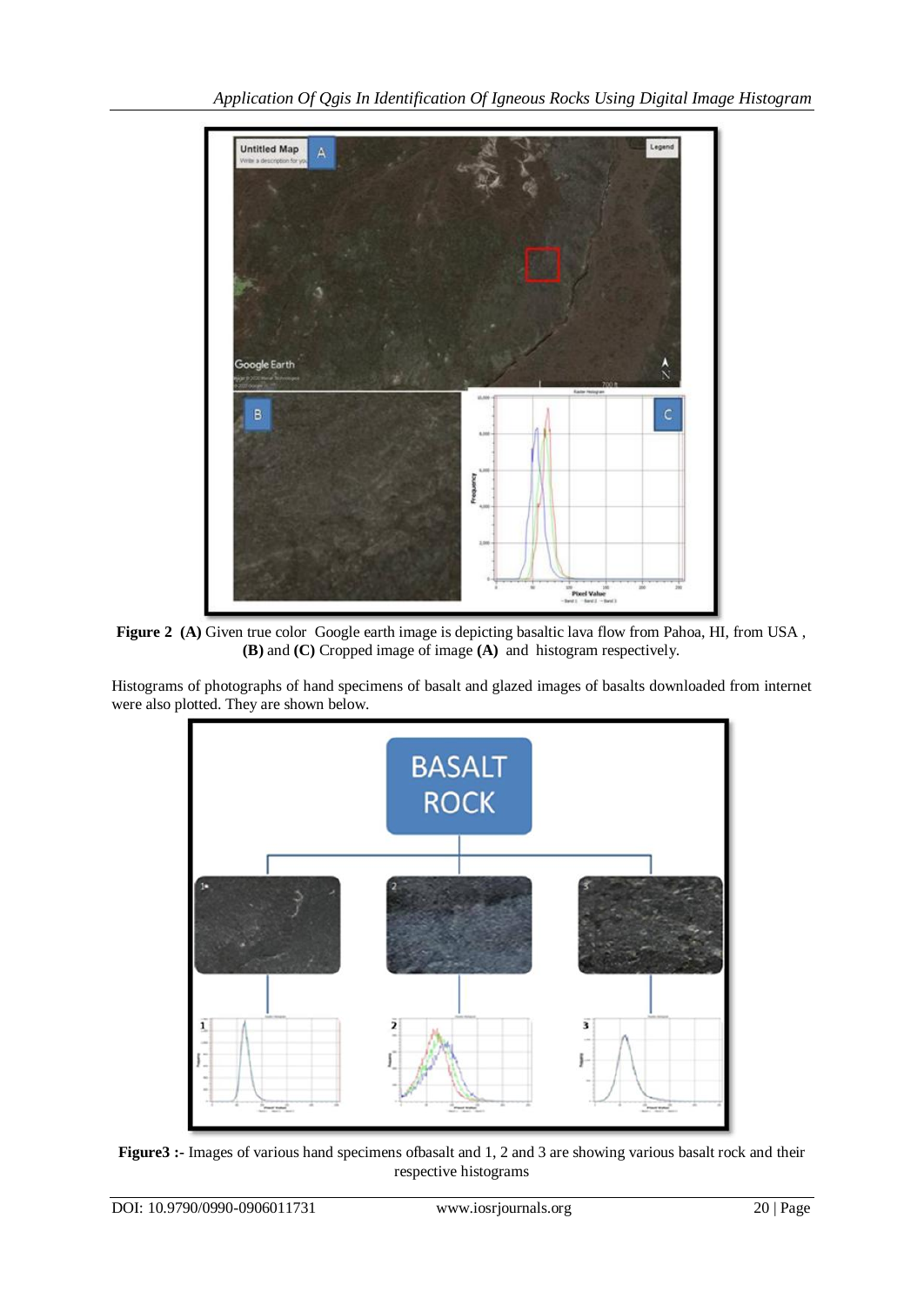

**Figure 2 (A)** Given true color Google earth image is depicting basaltic lava flow from Pahoa, HI, from USA , **(B)** and **(C)** Cropped image of image **(A)** and histogram respectively.

Histograms of photographs of hand specimens of basalt and glazed images of basalts downloaded from internet were also plotted. They are shown below.



**Figure3 :-** Images of various hand specimens ofbasalt and 1, 2 and 3 are showing various basalt rock and their respective histograms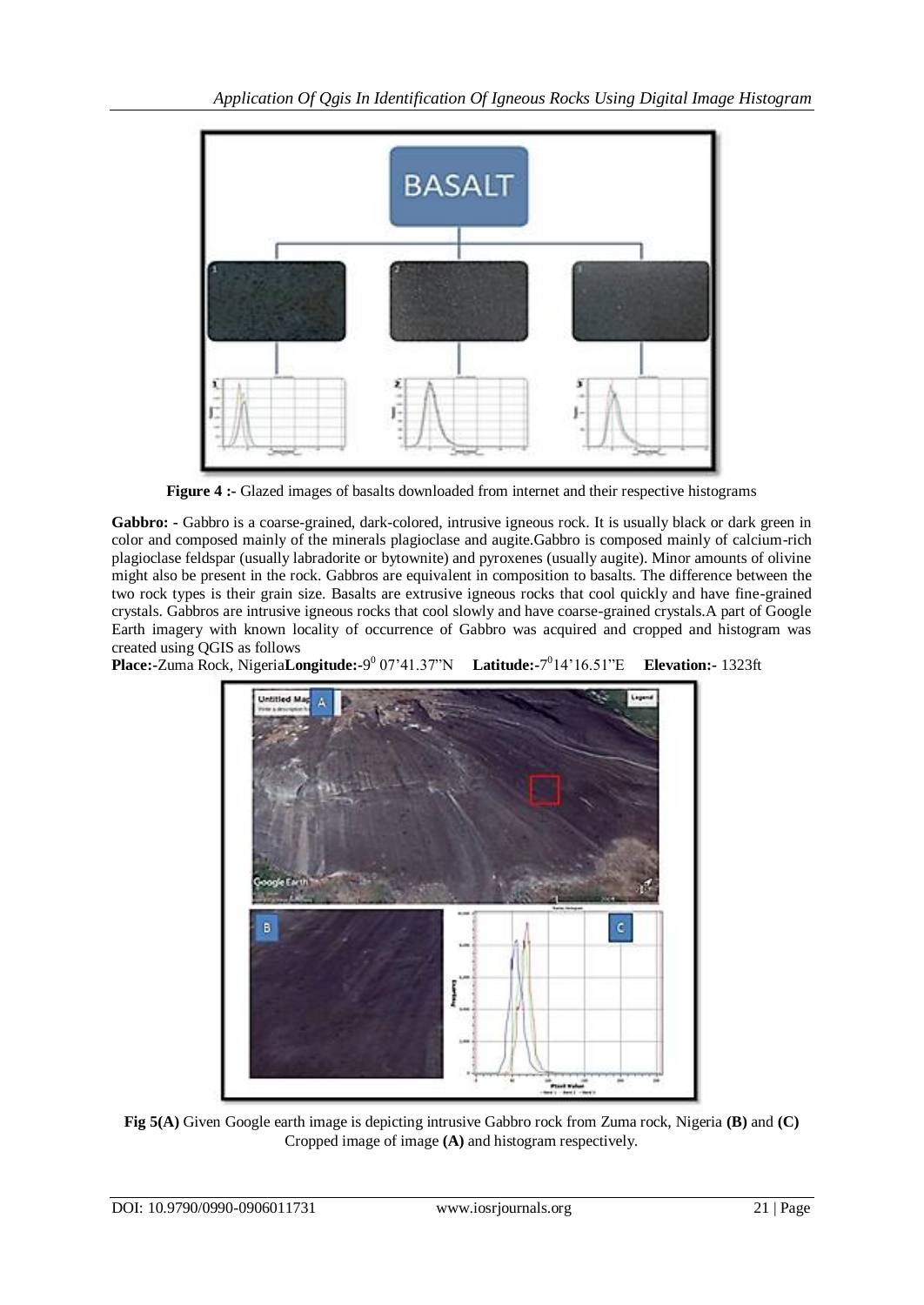

**Figure 4 :-** Glazed images of basalts downloaded from internet and their respective histograms

**Gabbro: -** Gabbro is a coarse-grained, dark-colored, intrusive igneous rock. It is usually black or dark green in color and composed mainly of the minerals plagioclase and augite.Gabbro is composed mainly of calcium-rich plagioclase feldspar (usually labradorite or bytownite) and pyroxenes (usually augite). Minor amounts of olivine might also be present in the rock. Gabbros are equivalent in composition to basalts. The difference between the two rock types is their grain size. Basalts are extrusive igneous rocks that cool quickly and have fine-grained crystals. Gabbros are intrusive igneous rocks that cool slowly and have coarse-grained crystals.A part of Google Earth imagery with known locality of occurrence of Gabbro was acquired and cropped and histogram was created using QGIS as follows

**Place:-**Zuma Rock, Nigeria**Longitude:-**9 0 07'41.37"N **Latitude:-**7 0 14'16.51"E **Elevation:-** 1323ft



**Fig 5(A)** Given Google earth image is depicting intrusive Gabbro rock from Zuma rock, Nigeria **(B)** and **(C)** Cropped image of image **(A)** and histogram respectively.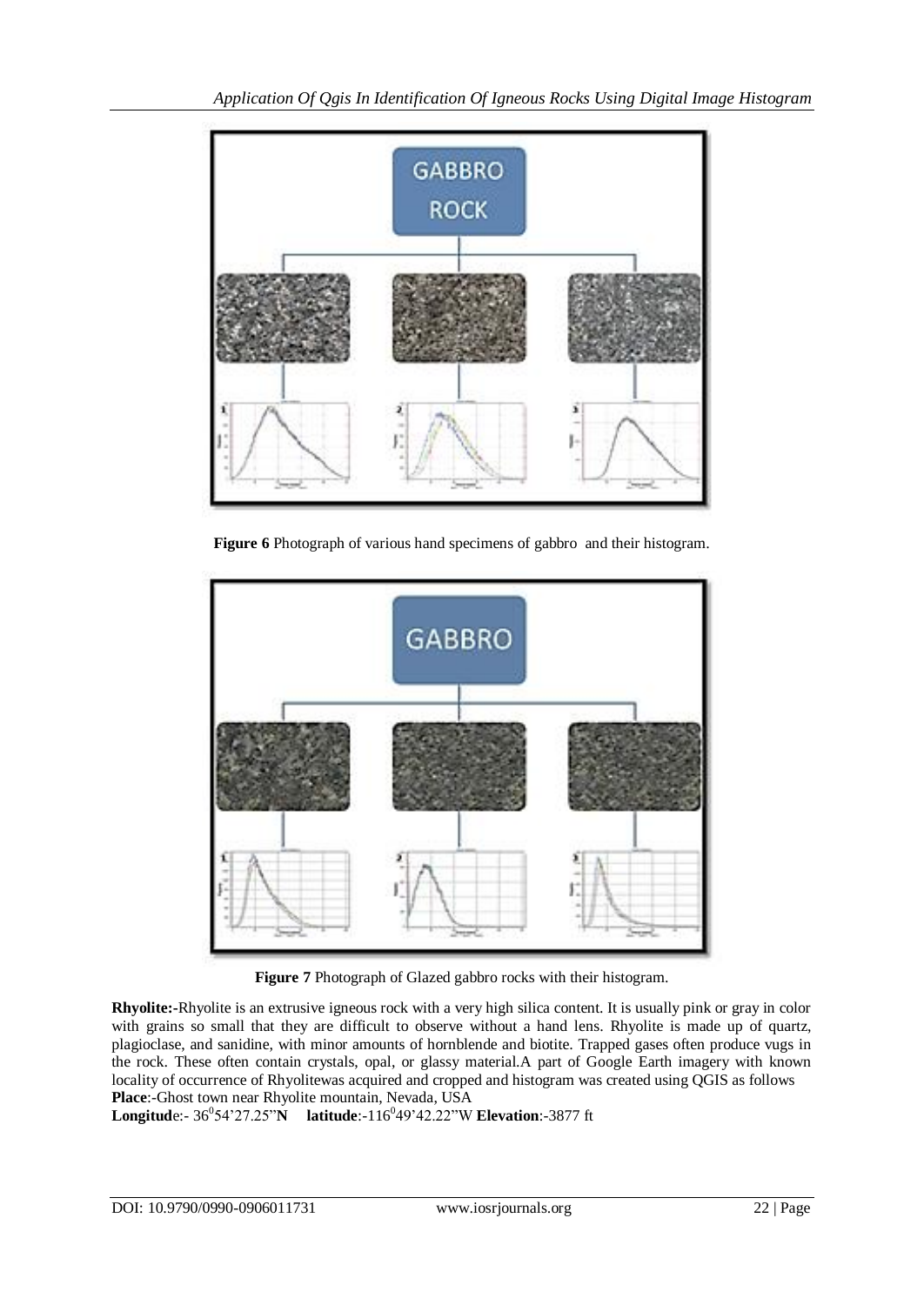

**Figure 6** Photograph of various hand specimens of gabbro and their histogram.



**Figure 7** Photograph of Glazed gabbro rocks with their histogram.

**Rhyolite:-**Rhyolite is an extrusive igneous rock with a very high silica content. It is usually pink or gray in color with grains so small that they are difficult to observe without a hand lens. Rhyolite is made up of quartz, plagioclase, and sanidine, with minor amounts of hornblende and biotite. Trapped gases often produce vugs in the rock. These often contain crystals, opal, or glassy material.A part of Google Earth imagery with known locality of occurrence of Rhyolitewas acquired and cropped and histogram was created using QGIS as follows **Place**:-Ghost town near Rhyolite mountain, Nevada, USA

**Longitude:**- 36<sup>0</sup>54'27.25"**N** latitude:-116<sup>0</sup>49'42.22"W Elevation:-3877 ft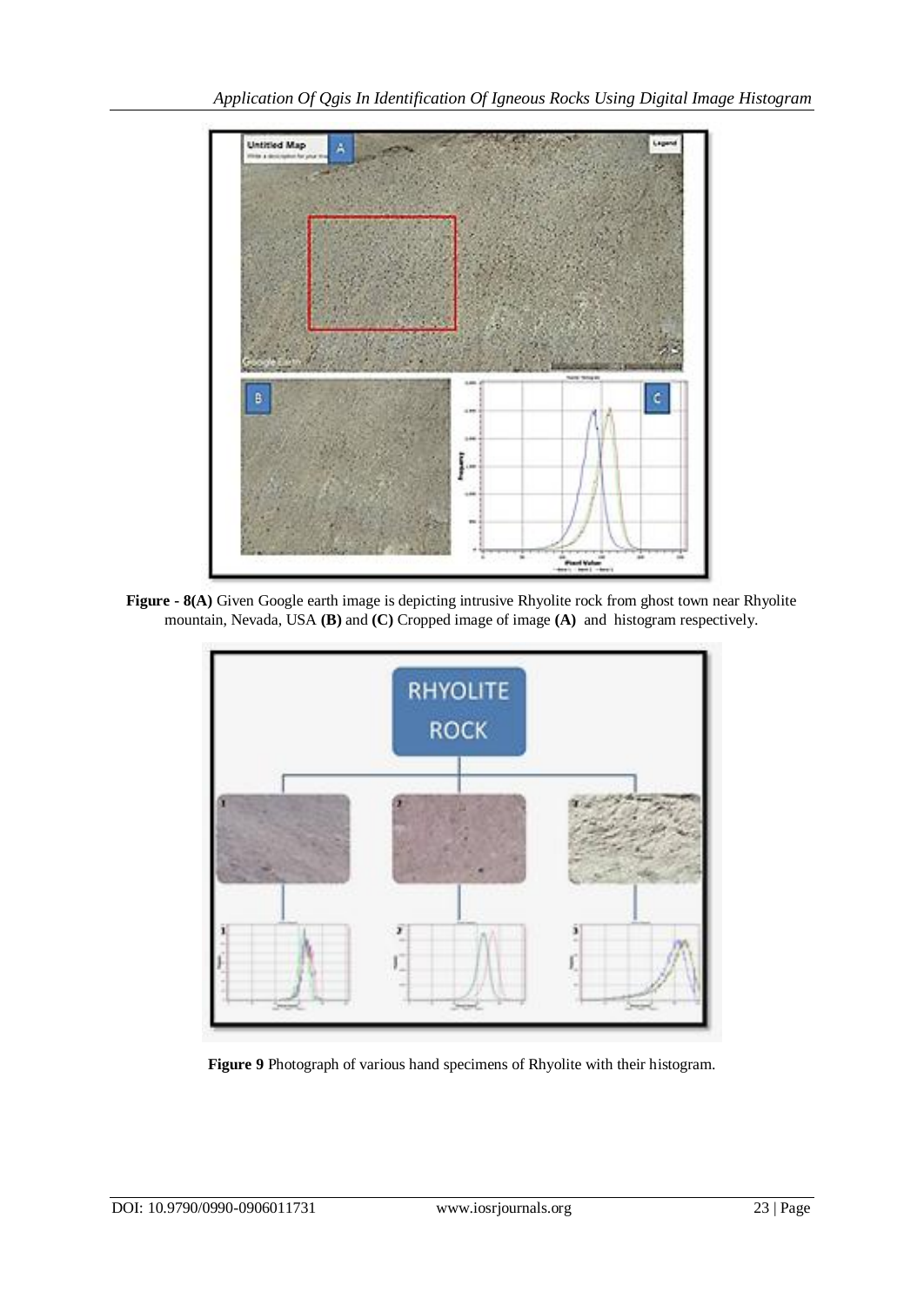

**Figure - 8(A)** Given Google earth image is depicting intrusive Rhyolite rock from ghost town near Rhyolite mountain, Nevada, USA **(B)** and **(C)** Cropped image of image **(A)** and histogram respectively.



**Figure 9** Photograph of various hand specimens of Rhyolite with their histogram.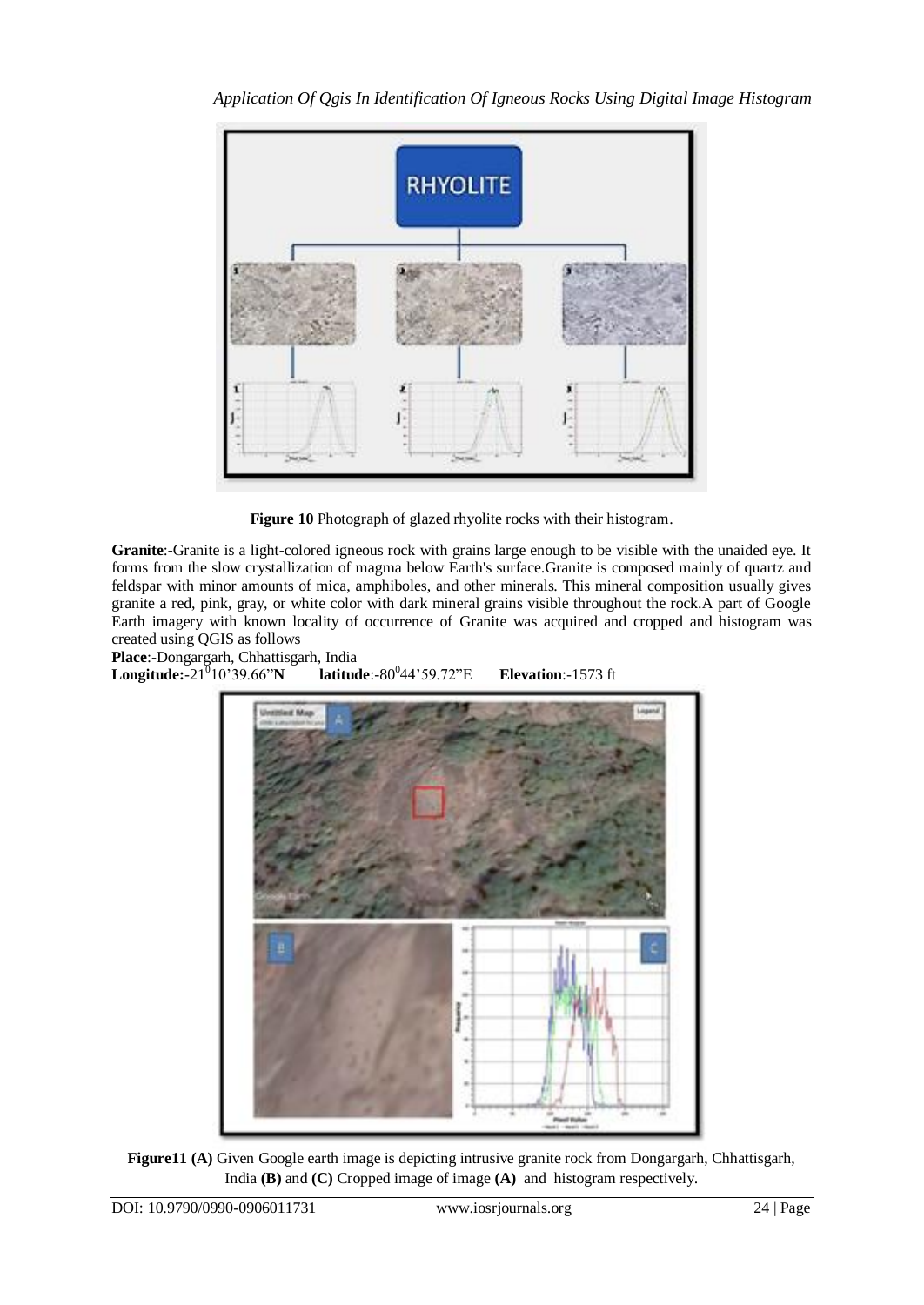

**Figure 10** Photograph of glazed rhyolite rocks with their histogram.

**Granite**:-Granite is a light-colored igneous rock with grains large enough to be visible with the unaided eye. It forms from the slow crystallization of magma below Earth's surface.Granite is composed mainly of quartz and feldspar with minor amounts of mica, amphiboles, and other minerals. This mineral composition usually gives granite a red, pink, gray, or white color with dark mineral grains visible throughout the rock.A part of Google Earth imagery with known locality of occurrence of Granite was acquired and cropped and histogram was created using QGIS as follows

**Place**:-Dongargarh, Chhattisgarh, India **Longitude:**- $21^010^339.66^{\prime\prime}$ N latitude:-80<sup>0</sup>44'59.72"<sup>E</sup> **Elevation:**-1573 ft



**Figure11 (A)** Given Google earth image is depicting intrusive granite rock from Dongargarh, Chhattisgarh, India **(B)** and **(C)** Cropped image of image **(A)** and histogram respectively.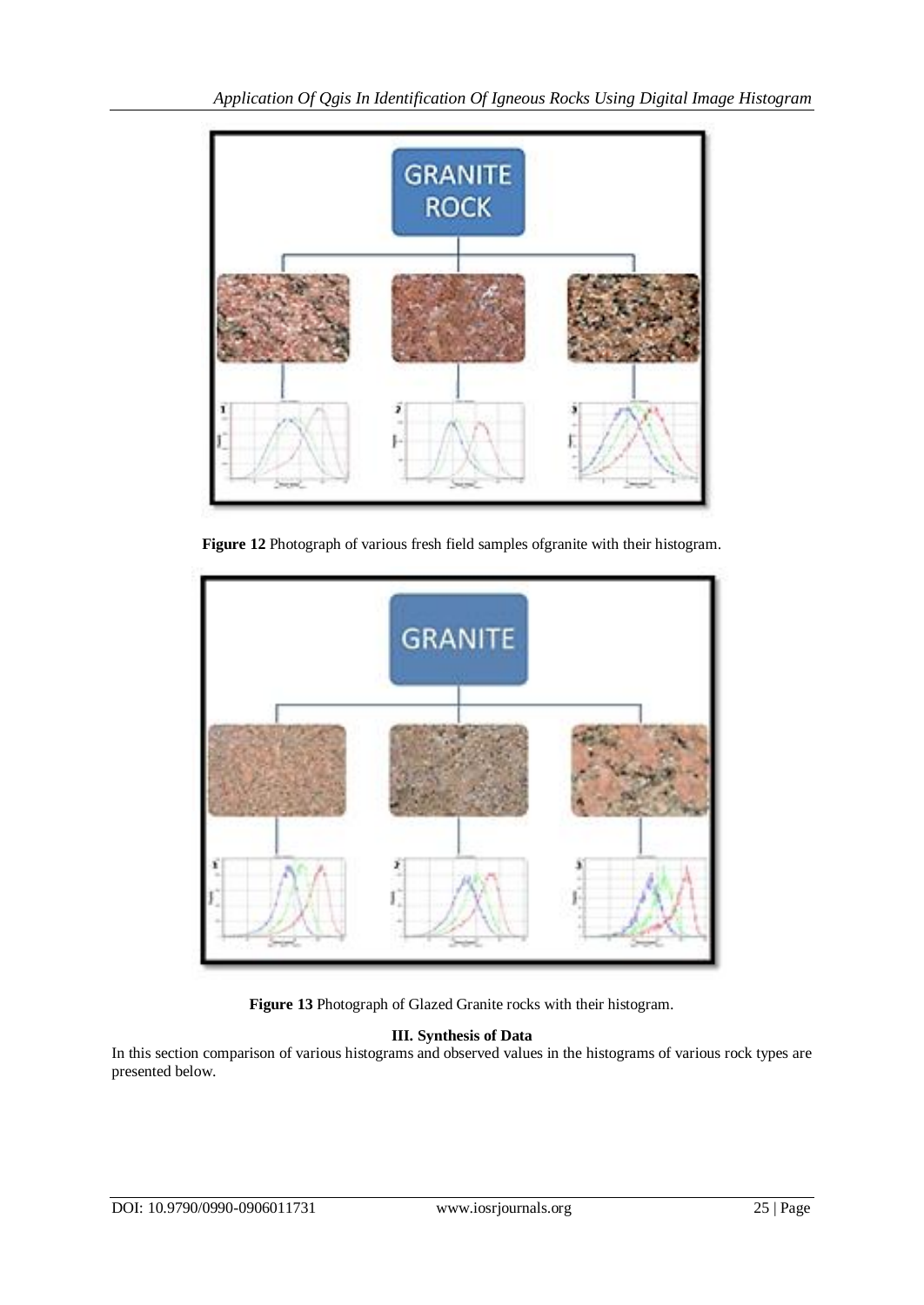

**Figure 12** Photograph of various fresh field samples ofgranite with their histogram.



**Figure 13** Photograph of Glazed Granite rocks with their histogram.

## **III. Synthesis of Data**

In this section comparison of various histograms and observed values in the histograms of various rock types are presented below.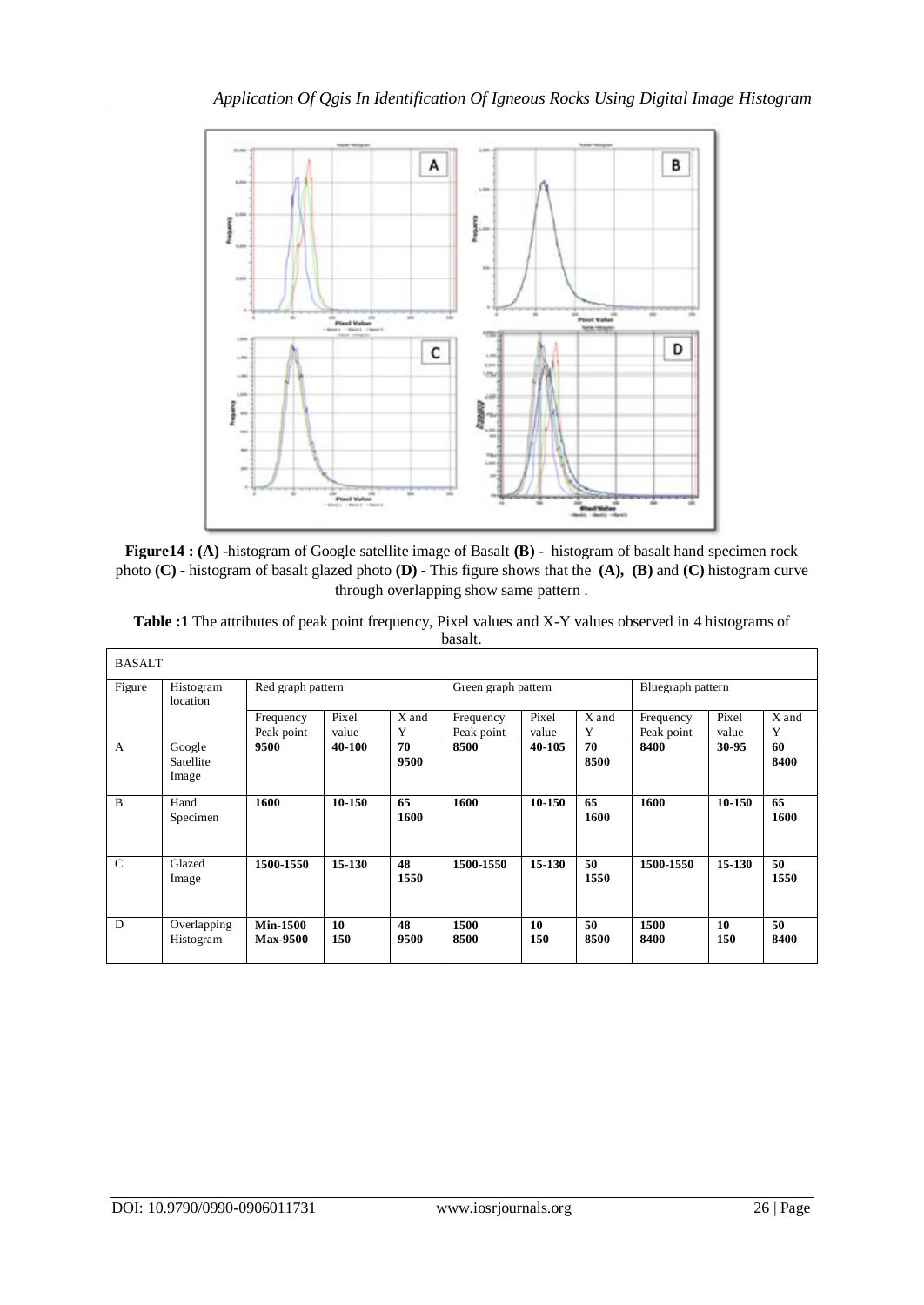

**Figure14 : (A) -**histogram of Google satellite image of Basalt **(B) -** histogram of basalt hand specimen rock photo **(C) -** histogram of basalt glazed photo **(D) -** This figure shows that the **(A), (B)** and **(C)** histogram curve through overlapping show same pattern .

|               |                              |                         |                |            | basalt.                 |                |            |                         |                |            |
|---------------|------------------------------|-------------------------|----------------|------------|-------------------------|----------------|------------|-------------------------|----------------|------------|
| <b>BASALT</b> |                              |                         |                |            |                         |                |            |                         |                |            |
| Figure        | Histogram<br>location        | Red graph pattern       |                |            | Green graph pattern     |                |            | Bluegraph pattern       |                |            |
|               |                              | Frequency<br>Peak point | Pixel<br>value | X and      | Frequency<br>Peak point | Pixel<br>value | X and<br>Y | Frequency<br>Peak point | Pixel<br>value | X and<br>Y |
| $\mathbf{A}$  | Google<br>Satellite<br>Image | 9500                    | 40-100         | 70<br>9500 | 8500                    | 40-105         | 70<br>8500 | 8400                    | 30-95          | 60<br>8400 |
| B             | Hand<br>Specimen             | 1600                    | 10-150         | 65<br>1600 | 1600                    | 10-150         | 65<br>1600 | 1600                    | 10-150         | 65<br>1600 |

**1500 8500**

**1500-1550 15-130 48**

**10 150**

**Min-1500 Max-9500** **1550**

**48 9500**

**Table :1** The attributes of peak point frequency, Pixel values and X-Y values observed in 4 histograms of basalt.

C Glazed Image

D Overlapping Histogram

**1500-1550 15-130 50**

**10 150** **1550**

**50 8500** **1500 8400**

**1500-1550 15-130 50**

**10 150** **1550**

**50 8400**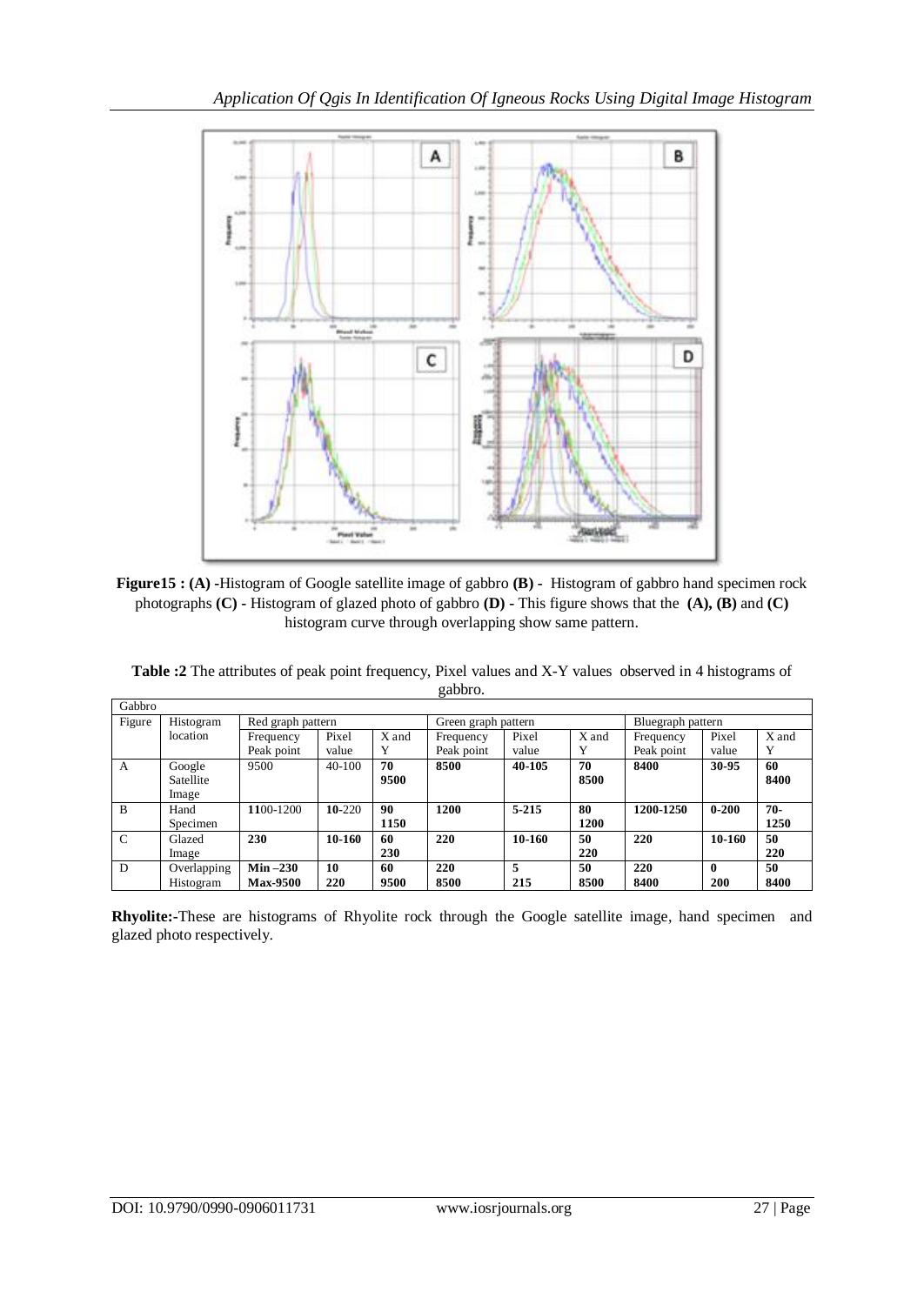

**Figure15 : (A) -**Histogram of Google satellite image of gabbro **(B) -** Histogram of gabbro hand specimen rock photographs **(C) -** Histogram of glazed photo of gabbro **(D) -** This figure shows that the **(A), (B)** and **(C)** histogram curve through overlapping show same pattern.

| Table :2 The attributes of peak point frequency, Pixel values and X-Y values observed in 4 histograms of |  |
|----------------------------------------------------------------------------------------------------------|--|
| gabbro.                                                                                                  |  |

| Gabbro        |                                |                 |          |       |                     |        |             |                   |              |       |
|---------------|--------------------------------|-----------------|----------|-------|---------------------|--------|-------------|-------------------|--------------|-------|
| Figure        | Histogram<br>Red graph pattern |                 |          |       | Green graph pattern |        |             | Bluegraph pattern |              |       |
|               | location                       | Frequency       | Pixel    | X and | Frequency           | Pixel  | X and       | Frequency         | Pixel        | X and |
|               |                                | Peak point      | value    | Y     | Peak point          | value  | Y           | Peak point        | value        | Y     |
| A             | Google                         | 9500            | $40-100$ | 70    | 8500                | 40-105 | 70          | 8400              | 30-95        | 60    |
|               | Satellite                      |                 |          | 9500  |                     |        | 8500        |                   |              | 8400  |
|               | Image                          |                 |          |       |                     |        |             |                   |              |       |
| B             | Hand                           | 1100-1200       | 10-220   | 90    | 1200                | 5-215  | 80          | 1200-1250         | $0 - 200$    | $70-$ |
|               | Specimen                       |                 |          | 1150  |                     |        | <b>1200</b> |                   |              | 1250  |
| $\mathcal{C}$ | Glazed                         | 230             | 10-160   | 60    | 220                 | 10-160 | 50          | 220               | 10-160       | 50    |
|               | Image                          |                 |          | 230   |                     |        | 220         |                   |              | 220   |
| D             | Overlapping                    | $Min-230$       | 10       | 60    | 220                 | 5      | 50          | 220               | $\mathbf{0}$ | 50    |
|               | Histogram                      | <b>Max-9500</b> | 220      | 9500  | 8500                | 215    | 8500        | 8400              | 200          | 8400  |

**Rhyolite:-**These are histograms of Rhyolite rock through the Google satellite image, hand specimen and glazed photo respectively.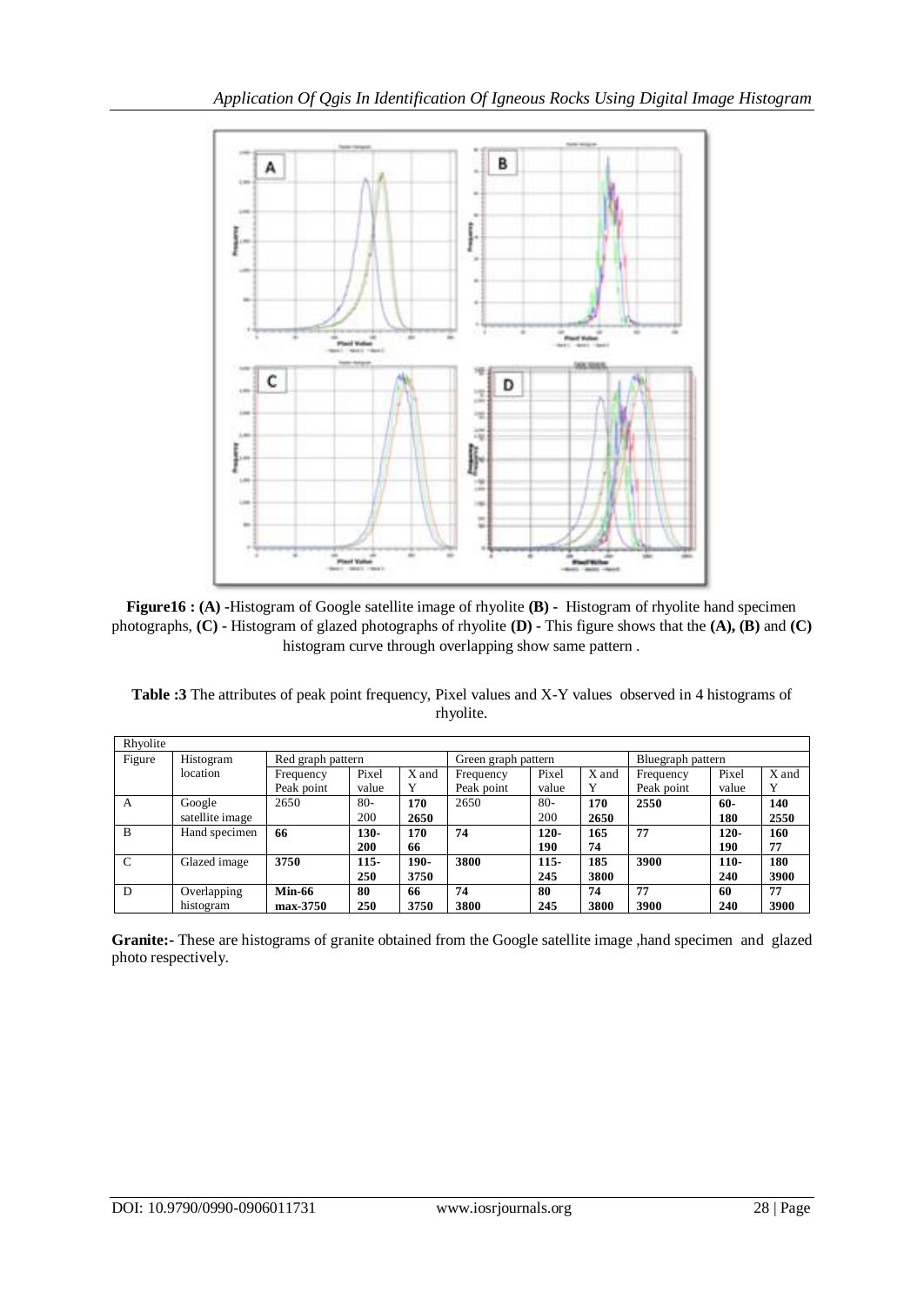



**Table :3** The attributes of peak point frequency, Pixel values and X-Y values observed in 4 histograms of rhyolite.

| Rhyolite      |                                |               |            |       |            |                     |       |            |                   |       |  |
|---------------|--------------------------------|---------------|------------|-------|------------|---------------------|-------|------------|-------------------|-------|--|
| Figure        | Histogram<br>Red graph pattern |               |            |       |            | Green graph pattern |       |            | Bluegraph pattern |       |  |
|               | location                       | Frequency     | Pixel      | X and | Frequency  | Pixel               | X and | Frequency  | Pixel             | X and |  |
|               |                                | Peak point    | value      | Y     | Peak point | value               | Y     | Peak point | value             | Y     |  |
| A             | Google                         | 2650          | $80 -$     | 170   | 2650       | $80 -$              | 170   | 2550       | $60 -$            | 140   |  |
|               | satellite image                |               | 200        | 2650  |            | 200                 | 2650  |            | 180               | 2550  |  |
| B             | Hand specimen                  | 66            | 130-       | 170   | 74         | $120 -$             | 165   | 77         | $120 -$           | 160   |  |
|               |                                |               | 200        | 66    |            | 190                 | 74    |            | 190               | 77    |  |
| $\mathcal{C}$ | Glazed image                   | 3750          | $115 -$    | 190-  | 3800       | $115 -$             | 185   | 3900       | $110-$            | 180   |  |
|               |                                |               | <b>250</b> | 3750  |            | 245                 | 3800  |            | 240               | 3900  |  |
| D             | Overlapping                    | <b>Min-66</b> | 80         | 66    | 74         | 80                  | 74    | 77         | 60                | 77    |  |
|               | histogram                      | max-3750      | 250        | 3750  | 3800       | 245                 | 3800  | 3900       | 240               | 3900  |  |

**Granite:-** These are histograms of granite obtained from the Google satellite image ,hand specimen and glazed photo respectively.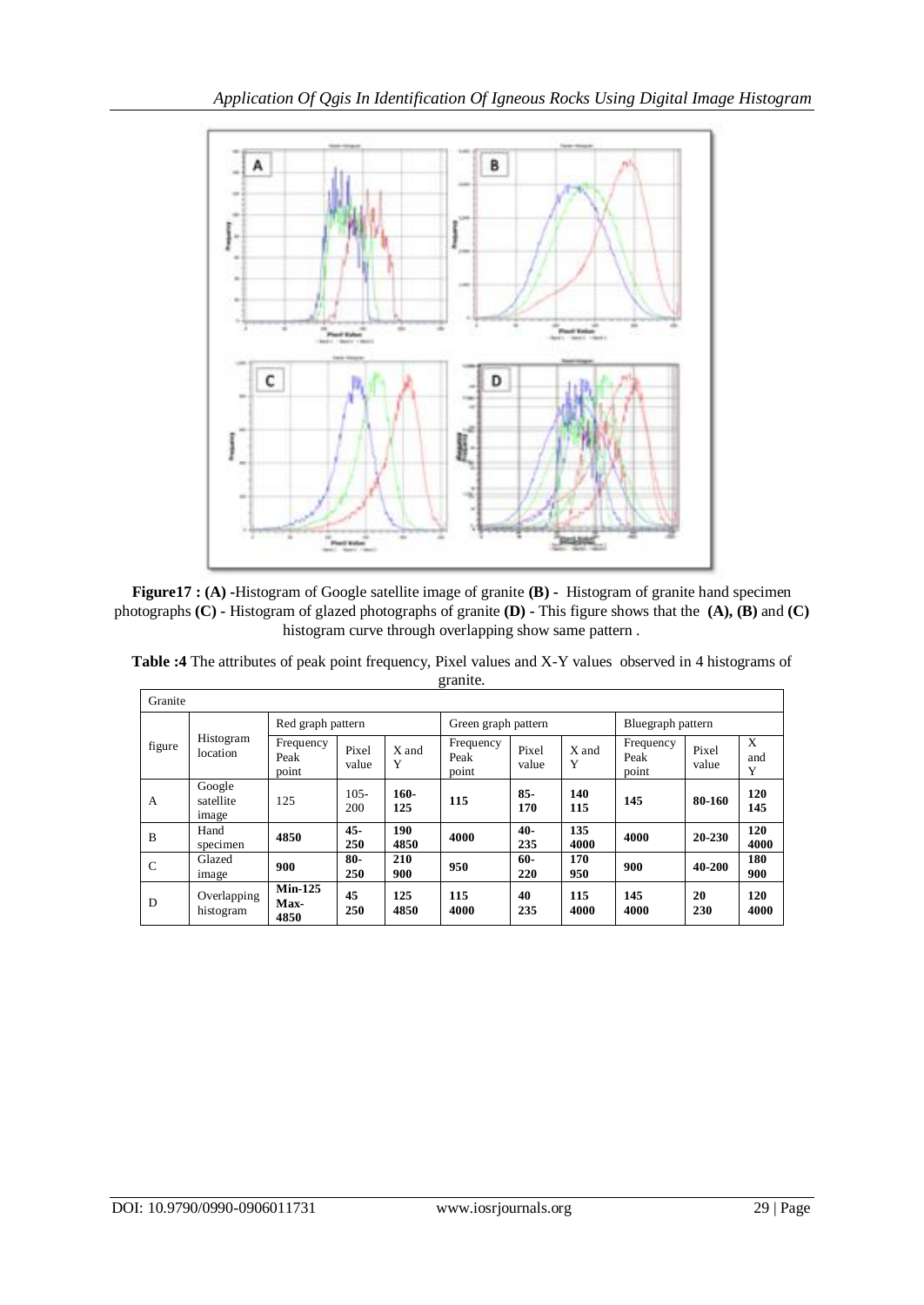

**Figure17 : (A) -**Histogram of Google satellite image of granite **(B) -** Histogram of granite hand specimen photographs **(C) -** Histogram of glazed photographs of granite **(D) -** This figure shows that the **(A), (B)** and **(C)** histogram curve through overlapping show same pattern .

| $\check{ }$<br>Granite |                              |                            |                |             |                            |                |             |                            |                |               |
|------------------------|------------------------------|----------------------------|----------------|-------------|----------------------------|----------------|-------------|----------------------------|----------------|---------------|
|                        |                              | Red graph pattern          |                |             | Green graph pattern        |                |             | Bluegraph pattern          |                |               |
| figure                 | Histogram<br>location        | Frequency<br>Peak<br>point | Pixel<br>value | X and<br>Y  | Frequency<br>Peak<br>point | Pixel<br>value | X and<br>Y  | Frequency<br>Peak<br>point | Pixel<br>value | X<br>and<br>Y |
| A                      | Google<br>satellite<br>image | 125                        | $105 -$<br>200 | 160-<br>125 | 115                        | $85 -$<br>170  | 140<br>115  | 145                        | 80-160         | 120<br>145    |
| B                      | Hand<br>specimen             | 4850                       | $45 -$<br>250  | 190<br>4850 | 4000                       | $40-$<br>235   | 135<br>4000 | 4000                       | $20 - 230$     | 120<br>4000   |
| $\mathsf{C}$           | Glazed<br>image              | 900                        | $80 -$<br>250  | 210<br>900  | 950                        | $60-$<br>220   | 170<br>950  | 900                        | 40-200         | 180<br>900    |
| D                      | Overlapping<br>histogram     | $Min-125$<br>Max-<br>4850  | 45<br>250      | 125<br>4850 | 115<br>4000                | 40<br>235      | 115<br>4000 | 145<br>4000                | 20<br>230      | 120<br>4000   |

**Table :4** The attributes of peak point frequency, Pixel values and X-Y values observed in 4 histograms of granite.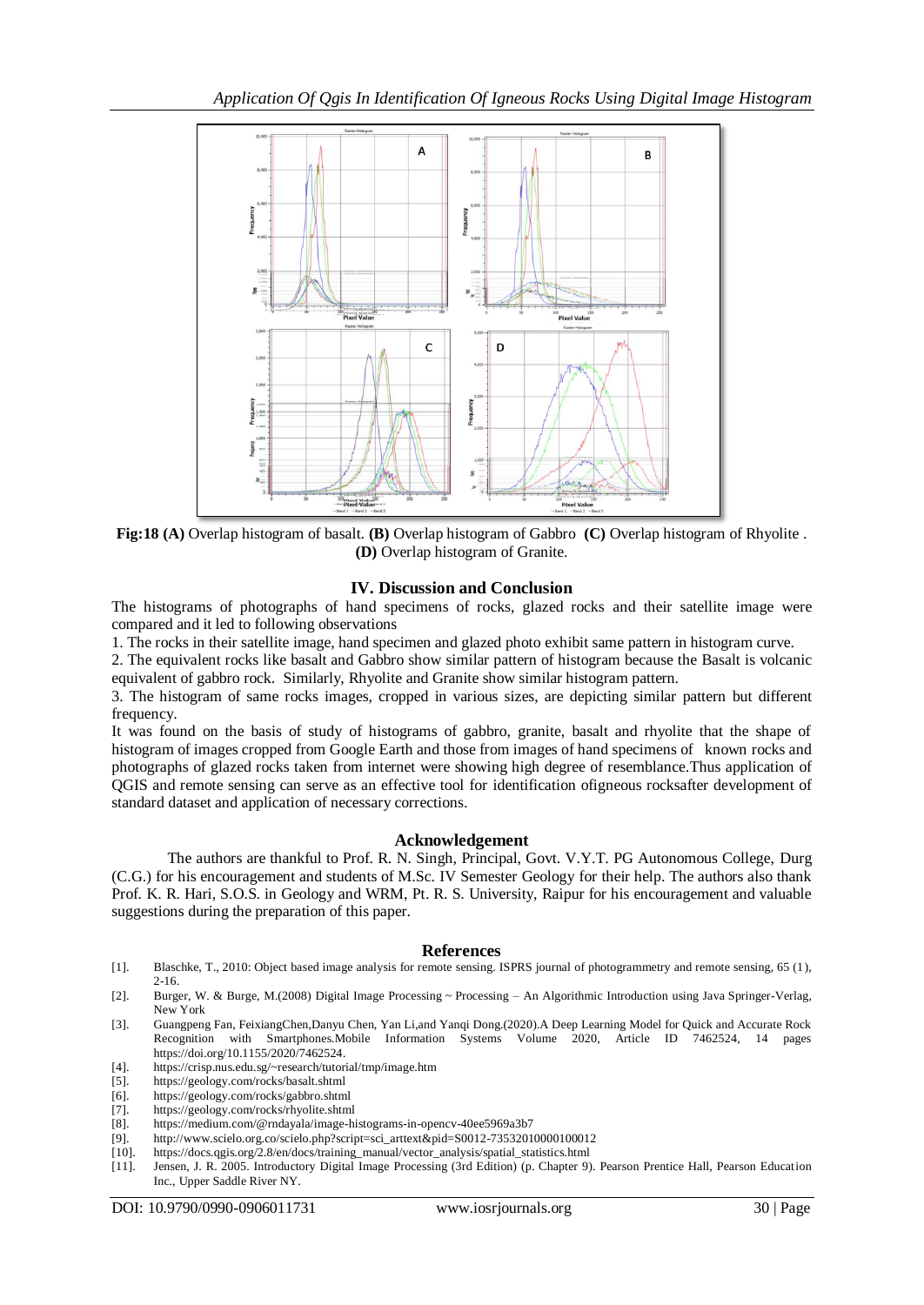

**Fig:18 (A)** Overlap histogram of basalt. **(B)** Overlap histogram of Gabbro **(C)** Overlap histogram of Rhyolite . **(D)** Overlap histogram of Granite.

## **IV. Discussion and Conclusion**

The histograms of photographs of hand specimens of rocks, glazed rocks and their satellite image were compared and it led to following observations

1. The rocks in their satellite image, hand specimen and glazed photo exhibit same pattern in histogram curve.

2. The equivalent rocks like basalt and Gabbro show similar pattern of histogram because the Basalt is volcanic equivalent of gabbro rock. Similarly, Rhyolite and Granite show similar histogram pattern.

3. The histogram of same rocks images, cropped in various sizes, are depicting similar pattern but different frequency.

It was found on the basis of study of histograms of gabbro, granite, basalt and rhyolite that the shape of histogram of images cropped from Google Earth and those from images of hand specimens of known rocks and photographs of glazed rocks taken from internet were showing high degree of resemblance.Thus application of QGIS and remote sensing can serve as an effective tool for identification ofigneous rocksafter development of standard dataset and application of necessary corrections.

## **Acknowledgement**

The authors are thankful to Prof. R. N. Singh, Principal, Govt. V.Y.T. PG Autonomous College, Durg (C.G.) for his encouragement and students of M.Sc. IV Semester Geology for their help. The authors also thank Prof. K. R. Hari, S.O.S. in Geology and WRM, Pt. R. S. University, Raipur for his encouragement and valuable suggestions during the preparation of this paper.

## **References**

- [1]. Blaschke, T., 2010: Object based image analysis for remote sensing. ISPRS journal of photogrammetry and remote sensing, 65 (1), 2-16.
- [2]. Burger, W. & Burge, M.(2008) Digital Image Processing ~ Processing An Algorithmic Introduction using Java Springer-Verlag, New York
- [3]. Guangpeng Fan, FeixiangChen,Danyu Chen, Yan Li,and Yanqi Dong.(2020).A Deep Learning Model for Quick and Accurate Rock Recognition with Smartphones.Mobile Information Systems Volume 2020, Article ID 7462524, 14 pages https://doi.org/10.1155/2020/7462524.
- [4]. https://crisp.nus.edu.sg/~research/tutorial/tmp/image.htm
- [5]. https://geology.com/rocks/basalt.shtml<br>[6]. https://geology.com/rocks/gabbro.shtm
- [6]. https://geology.com/rocks/gabbro.shtml
- [7]. https://geology.com/rocks/rhyolite.shtml
- [8]. https://medium.com/@rndayala/image-histograms-in-opencv-40ee5969a3b7
- [9]. http://www.scielo.org.co/scielo.php?script=sci\_arttext&pid=S0012-73532010000100012
- [10]. https://docs.qgis.org/2.8/en/docs/training\_manual/vector\_analysis/spatial\_statistics.html
- [11]. Jensen, J. R. 2005. Introductory Digital Image Processing (3rd Edition) (p. Chapter 9). Pearson Prentice Hall, Pearson Education Inc., Upper Saddle River NY.